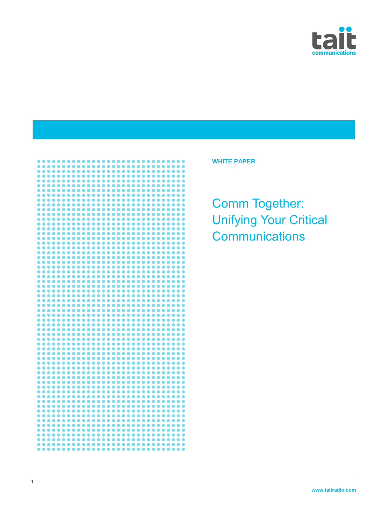



**WHITE PAPER**

Comm Together: Unifying Your Critical **Communications**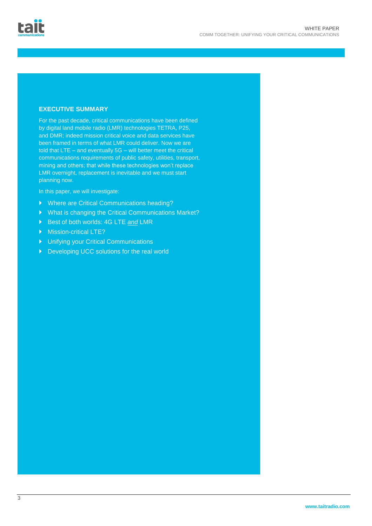# **EXECUTIVE SUMMARY**

For the past decade, critical communications have been defined by digital land mobile radio (LMR) technologies TETRA, P25, and DMR; indeed mission critical voice and data services have been framed in terms of what LMR could deliver. Now we are told that LTE – and eventually 5G – will better meet the critical communications requirements of public safety, utilities, transport, mining and others; that while these technologies won't replace LMR overnight, replacement is inevitable and we must start planning now.

In this paper, we will investigate:

- Where are Critical Communications heading?
- What is changing the Critical Communications Market?
- Best of both worlds: 4G LTE *and* LMR
- Mission-critical LTE?
- Unifying your Critical Communications
- Developing UCC solutions for the real world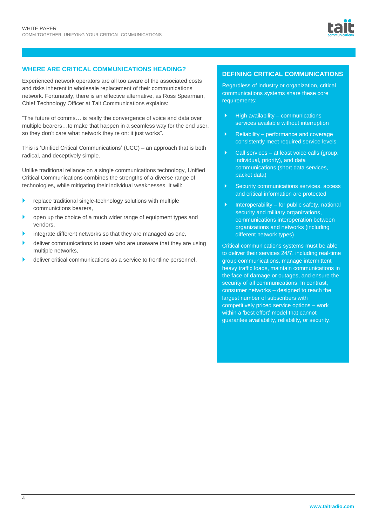

# **WHERE ARE CRITICAL COMMUNICATIONS HEADING?**

Experienced network operators are all too aware of the associated costs and risks inherent in wholesale replacement of their communications network. Fortunately, there is an effective alternative, as Ross Spearman, Chief Technology Officer at Tait Communications explains:

"The future of comms… is really the convergence of voice and data over multiple bearers…to make that happen in a seamless way for the end user, so they don't care what network they're on: it just works".

This is 'Unified Critical Communications' (UCC) – an approach that is both radical, and deceptively simple.

Unlike traditional reliance on a single communications technology, Unified Critical Communications combines the strengths of a diverse range of technologies, while mitigating their individual weaknesses. It will:

- **P** replace traditional single-technology solutions with multiple communictions bearers,
- open up the choice of a much wider range of equipment types and vendors,
- integrate different networks so that they are managed as one,
- deliver communications to users who are unaware that they are using multiple networks,
- deliver critical communications as a service to frontline personnel.

# **DEFINING CRITICAL COMMUNICATIONS**

Regardless of industry or organization, critical communications systems share these core requirements:

- $\blacktriangleright$  High availability communications services available without interruption
- $\blacktriangleright$  Reliability performance and coverage consistently meet required service levels
- $\triangleright$  Call services at least voice calls (group, individual, priority), and data communications (short data services, packet data)
- Security communications services, access and critical information are protected
- $\blacktriangleright$  Interoperability for public safety, national security and military organizations. communications interoperation between organizations and networks (including different network types)

Critical communications systems must be able to deliver their services 24/7, including real-time group communications, manage intermittent heavy traffic loads, maintain communications in the face of damage or outages, and ensure the security of all communications. In contrast, consumer networks – designed to reach the largest number of subscribers with competitively priced service options – work within a 'best effort' model that cannot guarantee availability, reliability, or security.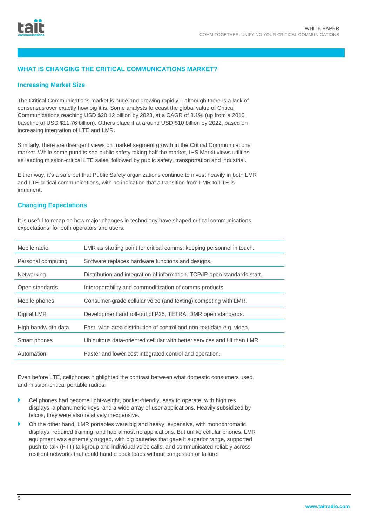# **WHAT IS CHANGING THE CRITICAL COMMUNICATIONS MARKET?**

## **Increasing Market Size**

The Critical Communications market is huge and growing rapidly – although there is a lack of consensus over exactly how big it is. Some analysts forecast the global value of Critical Communications reaching USD \$20.12 billion by 2023, at a CAGR of 8.1% (up from a 2016 baseline of USD \$11.76 billion). Others place it at around USD \$10 billion by 2022, based on increasing integration of LTE and LMR.

Similarly, there are divergent views on market segment growth in the Critical Communications market. While some pundits see public safety taking half the market, IHS Markit views utilities as leading mission-critical LTE sales, followed by public safety, transportation and industrial.

Either way, it's a safe bet that Public Safety organizations continue to invest heavily in both LMR and LTE critical communications, with no indication that a transition from LMR to LTE is imminent.

## **Changing Expectations**

It is useful to recap on how major changes in technology have shaped critical communications expectations, for both operators and users.

| Mobile radio        | LMR as starting point for critical comms: keeping personnel in touch.     |  |  |
|---------------------|---------------------------------------------------------------------------|--|--|
| Personal computing  | Software replaces hardware functions and designs.                         |  |  |
| Networking          | Distribution and integration of information. TCP/IP open standards start. |  |  |
| Open standards      | Interoperability and commoditization of comms products.                   |  |  |
| Mobile phones       | Consumer-grade cellular voice (and texting) competing with LMR.           |  |  |
| Digital LMR         | Development and roll-out of P25, TETRA, DMR open standards.               |  |  |
| High bandwidth data | Fast, wide-area distribution of control and non-text data e.g. video.     |  |  |
| Smart phones        | Ubiquitous data-oriented cellular with better services and UI than LMR.   |  |  |
| Automation          | Faster and lower cost integrated control and operation.                   |  |  |
|                     |                                                                           |  |  |

Even before LTE, cellphones highlighted the contrast between what domestic consumers used, and mission-critical portable radios.

- Cellphones had become light-weight, pocket-friendly, easy to operate, with high res displays, alphanumeric keys, and a wide array of user applications. Heavily subsidized by telcos, they were also relatively inexpensive.
- On the other hand, LMR portables were big and heavy, expensive, with monochromatic displays, required training, and had almost no applications. But unlike cellular phones, LMR equipment was extremely rugged, with big batteries that gave it superior range, supported push-to-talk (PTT) talkgroup and individual voice calls, and communicated reliably across resilient networks that could handle peak loads without congestion or failure.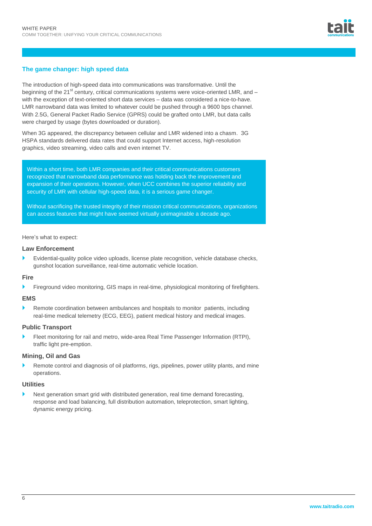# **The game changer: high speed data**

The introduction of high-speed data into communications was transformative. Until the beginning of the 21<sup>st</sup> century, critical communications systems were voice-oriented LMR, and – with the exception of text-oriented short data services – data was considered a nice-to-have. LMR narrowband data was limited to whatever could be pushed through a 9600 bps channel. With 2.5G, General Packet Radio Service (GPRS) could be grafted onto LMR, but data calls were charged by usage (bytes downloaded or duration).

When 3G appeared, the discrepancy between cellular and LMR widened into a chasm. 3G HSPA standards delivered data rates that could support Internet access, high-resolution graphics, video streaming, video calls and even internet TV.

Within a short time, both LMR companies and their critical communications customers recognized that narrowband data performance was holding back the improvement and expansion of their operations. However, when UCC combines the superior reliability and security of LMR with cellular high-speed data, it is a serious game changer.

Without sacrificing the trusted integrity of their mission critical communications, organizations can access features that might have seemed virtually unimaginable a decade ago.

# Here's what to expect:

## **Law Enforcement**

 Evidential-quality police video uploads, license plate recognition, vehicle database checks, gunshot location surveillance, real-time automatic vehicle location.

## **Fire**

Fireground video monitoring, GIS maps in real-time, physiological monitoring of firefighters.

#### **EMS**

 Remote coordination between ambulances and hospitals to monitor patients, including real-time medical telemetry (ECG, EEG), patient medical history and medical images.

#### **Public Transport**

 Fleet monitoring for rail and metro, wide-area Real Time Passenger Information (RTPI), traffic light pre-emption.

## **Mining, Oil and Gas**

 Remote control and diagnosis of oil platforms, rigs, pipelines, power utility plants, and mine operations.

#### **Utilities**

 Next generation smart grid with distributed generation, real time demand forecasting, response and load balancing, full distribution automation, teleprotection, smart lighting, dynamic energy pricing.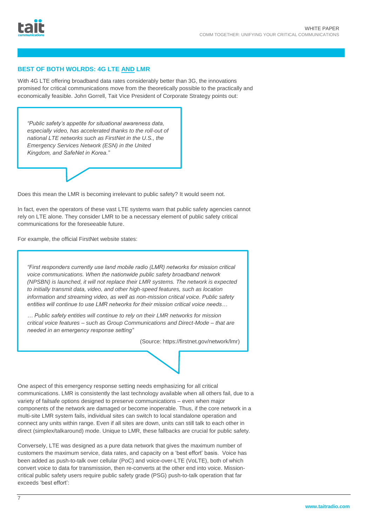# **BEST OF BOTH WOLRDS: 4G LTE AND LMR**

With 4G LTE offering broadband data rates considerably better than 3G, the innovations promised for critical communications move from the theoretically possible to the practically and economically feasible. John Gorrell, Tait Vice President of Corporate Strategy points out:

*"Public safety's appetite for situational awareness data, especially video, has accelerated thanks to the roll-out of national LTE networks such as FirstNet in the U.S., the Emergency Services Network (ESN) in the United Kingdom, and SafeNet in Korea."*



Does this mean the LMR is becoming irrelevant to public safety? It would seem not.

In fact, even the operators of these vast LTE systems warn that public safety agencies cannot rely on LTE alone. They consider LMR to be a necessary element of public safety critical communications for the foreseeable future.

For example, the official FirstNet website states:

*"First responders currently use land mobile radio (LMR) networks for mission critical voice communications. When the nationwide public safety broadband network (NPSBN) is launched, it will not replace their LMR systems. The network is expected to initially transmit data, video, and other high-speed features, such as location information and streaming video, as well as non-mission critical voice. Public safety entities will continue to use LMR networks for their mission critical voice needs…*

*… Public safety entities will continue to rely on their LMR networks for mission critical voice features – such as Group Communications and Direct-Mode – that are needed in an emergency response setting"*

(Source: https://firstnet.gov/network/lmr)

One aspect of this emergency response setting needs emphasizing for all critical communications. LMR is consistently the last technology available when all others fail, due to a variety of failsafe options designed to preserve communications – even when major components of the network are damaged or become inoperable. Thus, if the core network in a multi-site LMR system fails, individual sites can switch to local standalone operation and connect any units within range. Even if all sites are down, units can still talk to each other in direct (simplex/talkaround) mode. Unique to LMR, these fallbacks are crucial for public safety.

Conversely, LTE was designed as a pure data network that gives the maximum number of customers the maximum service, data rates, and capacity on a 'best effort' basis. Voice has been added as push-to-talk over cellular (PoC) and voice-over-LTE (VoLTE), both of which convert voice to data for transmission, then re-converts at the other end into voice. Missioncritical public safety users require public safety grade (PSG) push-to-talk operation that far exceeds 'best effort':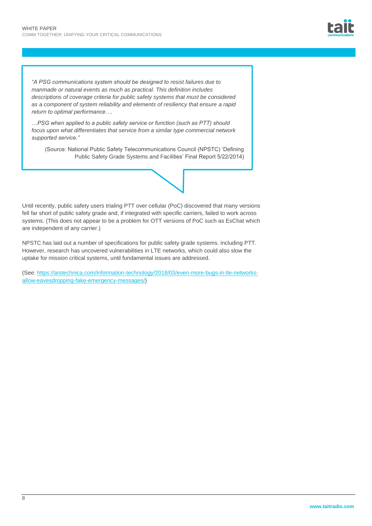*"A PSG communications system should be designed to resist failures due to manmade or natural events as much as practical. This definition includes descriptions of coverage criteria for public safety systems that must be considered as a component of system reliability and elements of resiliency that ensure a rapid return to optimal performance….*

*…PSG when applied to a public safety service or function (such as PTT) should focus upon what differentiates that service from a similar type commercial network supported service."*

(Source: National Public Safety Telecommunications Council (NPSTC) 'Defining Public Safety Grade Systems and Facilities' Final Report 5/22/2014)

# Until recently, public safety users trialing PTT over cellular (PoC) discovered that many versions fell far short of public safety grade and, if integrated with specific carriers, failed to work across systems. (This does not appear to be a problem for OTT versions of PoC such as EsChat which are independent of any carrier.)

NPSTC has laid out a number of specifications for public safety grade systems. including PTT. However, research has uncovered vulnerabilities in LTE networks, which could also slow the uptake for mission critical systems, until fundamental issues are addressed.

(See: [https://arstechnica.com/information-technology/2018/03/even-more-bugs-in-lte-networks](https://arstechnica.com/information-technology/2018/03/even-more-bugs-in-lte-networks-allow-eavesdropping-fake-emergency-messages/)[allow-eavesdropping-fake-emergency-messages/\)](https://arstechnica.com/information-technology/2018/03/even-more-bugs-in-lte-networks-allow-eavesdropping-fake-emergency-messages/)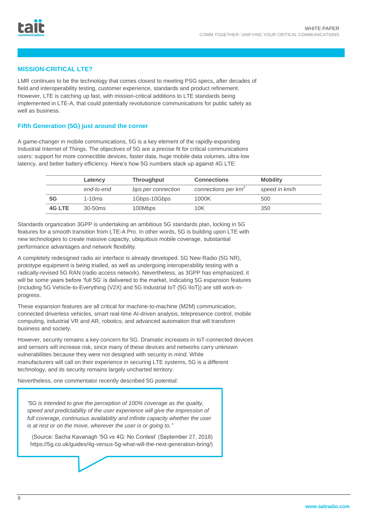# **MISSION-CRITICAL LTE?**

LMR continues to be the technology that comes closest to meeting PSG specs, after decades of field and interoperability testing, customer experience, standards and product refinement. However, LTE is catching up fast, with mission-critical additions to LTE standards being implemented in LTE-A, that could potentially revolutionize communications for public safety as well as business.

# **Fifth Generation (5G) just around the corner**

A game-changer in mobile communications, 5G is a key element of the rapidly-expanding Industrial Internet of Things. The objectives of 5G are a precise fit for critical communications users: support for more connectible devices, faster data, huge mobile data volumes, ultra-low latency, and better battery efficiency. Here's how 5G numbers stack up against 4G LTE:

|        | Latency    | <b>Throughput</b>  | <b>Connections</b>              | <b>Mobility</b> |
|--------|------------|--------------------|---------------------------------|-----------------|
|        | end-to-end | bps per connection | connections per km <sup>2</sup> | speed in km/h   |
| 5G     | $1-10ms$   | 1Gbps-10Gbps       | 1000K                           | 500             |
| 4G LTE | $30-50ms$  | 100Mbps            | 10K                             | 350             |

Standards organization 3GPP is undertaking an ambitious 5G standards plan, locking in 5G features for a smooth transition from LTE-A Pro. In other words, 5G is building upon LTE with new technologies to create massive capacity, ubiquitous mobile coverage, substantial performance advantages and network flexibility.

A completely redesigned radio air interface is already developed. 5G New Radio (5G NR), prototype equipment is being trialled, as well as undergoing interoperability testing with a radically-revised 5G RAN (radio access network). Nevertheless, as 3GPP has emphasized, it will be some years before 'full 5G' is delivered to the market, indicating 5G expansion features (including 5G Vehicle-to-Everything (V2X) and 5G Industrial IoT (5G IIoT)) are still work-inprogress.

These expansion features are all critical for machine-to-machine (M2M) communication, connected driverless vehicles, smart real-time AI-driven analysis, telepresence control, mobile computing, industrial VR and AR, robotics, and advanced automation that will transform business and society.

However, security remains a key concern for 5G. Dramatic increases in IoT-connected devices and sensors will increase risk, since many of these devices and networks carry unknown vulnerabilities because they were not designed with security in mind. While manufacturers will call on their experience in securing LTE systems, 5G is a different technology, and its security remains largely uncharted territory.

Nevertheless, one commentator recently described 5G potential:

*"5G is intended to give the perception of 100% coverage as the quality, speed and predictability of the user experience will give the impression of*  full coverage, continuous availability and infinite capacity whether the user *is at rest or on the move, wherever the user is or going to."*

(Source: Sacha Kavanagh '5G vs 4G: No Contest' (September 27, 2018) https://5g.co.uk/guides/4g-versus-5g-what-will-the-next-generation-bring/)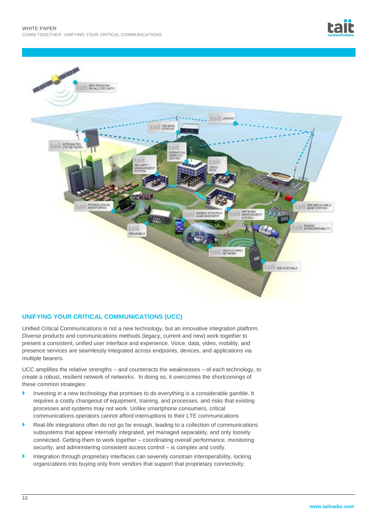



# **UNIFYING YOUR CRITICAL COMMUNICATIONS (UCC)**

Unified Critical Communications is not a new technology, but an innovative integration platform. Diverse products and communications methods (legacy, current and new) work together to present a consistent, unified user interface and experience. Voice, data, video, mobility, and presence services are seamlessly integrated across endpoints, devices, and applications via multiple bearers.

UCC amplifies the relative strengths – and counteracts the weaknesses – of each technology, to create a robust, resilient network of networks. In doing so, it overcomes the shortcomings of these common strategies:

- Investing in a new technology that promises to do everything is a considerable gamble. It requires a costly changeout of equipment, training, and processes, and risks that existing processes and systems may not work. Unlike smartphone consumers, critical communications operators cannot afford interruptions to their LTE communications
- Real-life integrations often do not go far enough, leading to a collection of communications subsystems that appear internally integrated, yet managed separately, and only loosely connected. Getting them to work together – coordinating overall performance, monitoring security, and administering consistent access control – is complex and costly.
- Integration through proprietary interfaces can severely constrain interoperability, locking organizations into buying only from vendors that support that proprietary connectivity.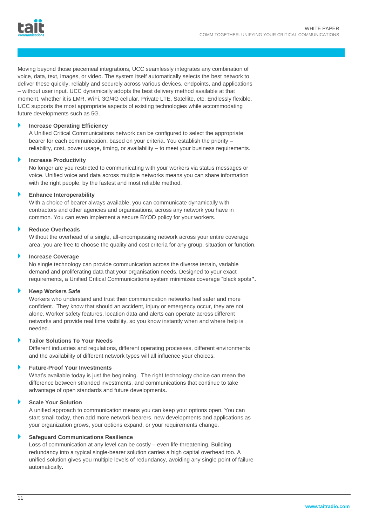Moving beyond those piecemeal integrations, UCC seamlessly integrates any combination of voice, data, text, images, or video. The system itself automatically selects the best network to deliver these quickly, reliably and securely across various devices, endpoints, and applications – without user input. UCC dynamically adopts the best delivery method available at that moment, whether it is LMR, WiFi, 3G/4G cellular, Private LTE, Satellite, etc. Endlessly flexible, UCC supports the most appropriate aspects of existing technologies while accommodating future developments such as 5G.

# **Increase Operating Efficiency**

A Unified Critical Communications network can be configured to select the appropriate bearer for each communication, based on your criteria. You establish the priority – reliability, cost, power usage, timing, or availability – to meet your business requirements.

# **Increase Productivity**

No longer are you restricted to communicating with your workers via status messages or voice. Unified voice and data across multiple networks means you can share information with the right people, by the fastest and most reliable method.

# **Enhance Interoperability**

With a choice of bearer always available, you can communicate dynamically with contractors and other agencies and organisations, across any network you have in common. You can even implement a secure BYOD policy for your workers.

# **Reduce Overheads**

Without the overhead of a single, all-encompassing network across your entire coverage area, you are free to choose the quality and cost criteria for any group, situation or function.

# **Increase Coverage**

No single technology can provide communication across the diverse terrain, variable demand and proliferating data that your organisation needs. Designed to your exact requirements, a Unified Critical Communications system minimizes coverage "black spots**".**

## **Keep Workers Safe**

Workers who understand and trust their communication networks feel safer and more confident. They know that should an accident, injury or emergency occur, they are not alone. Worker safety features, location data and alerts can operate across different networks and provide real time visibility, so you know instantly when and where help is needed.

# **Tailor Solutions To Your Needs**

Different industries and regulations, different operating processes, different environments and the availability of different network types will all influence your choices.

## **Future-Proof Your Investments**

What's available today is just the beginning. The right technology choice can mean the difference between stranded investments, and communications that continue to take advantage of open standards and future developments**.**

## **Scale Your Solution**

A unified approach to communication means you can keep your options open. You can start small today, then add more network bearers, new developments and applications as your organization grows, your options expand, or your requirements change.

## **Safeguard Communications Resilience**

Loss of communication at any level can be costly – even life-threatening. Building redundancy into a typical single-bearer solution carries a high capital overhead too. A unified solution gives you multiple levels of redundancy, avoiding any single point of failure automatically**.**